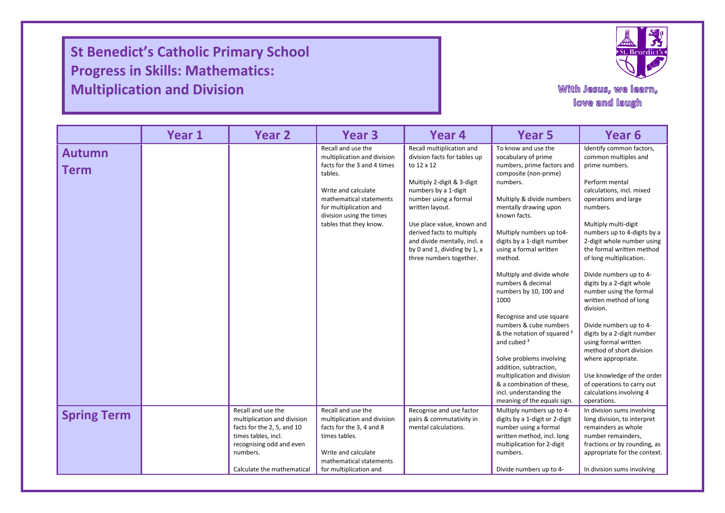**St Benedict's Catholic Primary School Progress in Skills: Mathematics: Multiplication and Division**

I

I

I



## With Jesus, we learn, love and laugh

|                    | Year 1 | Year <sub>2</sub>                                 | Year <sub>3</sub>                                 | Year 4                                                    | Year 5                                                           | Year 6                                                       |
|--------------------|--------|---------------------------------------------------|---------------------------------------------------|-----------------------------------------------------------|------------------------------------------------------------------|--------------------------------------------------------------|
| <b>Autumn</b>      |        |                                                   | Recall and use the<br>multiplication and division | Recall multiplication and<br>division facts for tables up | To know and use the<br>vocabulary of prime                       | Identify common factors,<br>common multiples and             |
| <b>Term</b>        |        |                                                   | facts for the 3 and 4 times                       | to 12 x 12                                                | numbers, prime factors and                                       | prime numbers.                                               |
|                    |        |                                                   | tables.                                           | Multiply 2-digit & 3-digit                                | composite (non-prime)<br>numbers.                                | Perform mental                                               |
|                    |        |                                                   | Write and calculate                               | numbers by a 1-digit                                      |                                                                  | calculations, incl. mixed                                    |
|                    |        |                                                   | mathematical statements<br>for multiplication and | number using a formal<br>written layout.                  | Multiply & divide numbers<br>mentally drawing upon               | operations and large<br>numbers.                             |
|                    |        |                                                   | division using the times                          |                                                           | known facts.                                                     |                                                              |
|                    |        |                                                   | tables that they know.                            | Use place value, known and<br>derived facts to multiply   | Multiply numbers up to4-                                         | Multiply multi-digit<br>numbers up to 4-digits by a          |
|                    |        |                                                   |                                                   | and divide mentally, incl. x                              | digits by a 1-digit number                                       | 2-digit whole number using                                   |
|                    |        |                                                   |                                                   | by 0 and 1, dividing by 1, x<br>three numbers together.   | using a formal written<br>method.                                | the formal written method<br>of long multiplication.         |
|                    |        |                                                   |                                                   |                                                           |                                                                  |                                                              |
|                    |        |                                                   |                                                   |                                                           | Multiply and divide whole<br>numbers & decimal                   | Divide numbers up to 4-<br>digits by a 2-digit whole         |
|                    |        |                                                   |                                                   |                                                           | numbers by 10, 100 and                                           | number using the formal                                      |
|                    |        |                                                   |                                                   |                                                           | 1000                                                             | written method of long<br>division.                          |
|                    |        |                                                   |                                                   |                                                           | Recognise and use square                                         |                                                              |
|                    |        |                                                   |                                                   |                                                           | numbers & cube numbers                                           | Divide numbers up to 4-                                      |
|                    |        |                                                   |                                                   |                                                           | & the notation of squared <sup>2</sup><br>and cubed <sup>3</sup> | digits by a 2-digit number<br>using formal written           |
|                    |        |                                                   |                                                   |                                                           |                                                                  | method of short division                                     |
|                    |        |                                                   |                                                   |                                                           | Solve problems involving<br>addition, subtraction,               | where appropriate.                                           |
|                    |        |                                                   |                                                   |                                                           | multiplication and division                                      | Use knowledge of the order                                   |
|                    |        |                                                   |                                                   |                                                           | & a combination of these,<br>incl. understanding the             | of operations to carry out<br>calculations involving 4       |
|                    |        |                                                   |                                                   |                                                           | meaning of the equals sign.                                      | operations.                                                  |
| <b>Spring Term</b> |        | Recall and use the<br>multiplication and division | Recall and use the<br>multiplication and division | Recognise and use factor<br>pairs & commutativity in      | Multiply numbers up to 4-<br>digits by a 1-digit or 2-digit      | In division sums involving<br>long division, to interpret    |
|                    |        | facts for the 2, 5, and 10                        | facts for the 3, 4 and 8                          | mental calculations.                                      | number using a formal                                            | remainders as whole                                          |
|                    |        | times tables, incl.                               | times tables.                                     |                                                           | written method, incl. long                                       | number remainders,                                           |
|                    |        | recognising odd and even<br>numbers.              | Write and calculate                               |                                                           | multiplication for 2-digit<br>numbers.                           | fractions or by rounding, as<br>appropriate for the context. |
|                    |        |                                                   | mathematical statements                           |                                                           |                                                                  |                                                              |
|                    |        | Calculate the mathematical                        | for multiplication and                            |                                                           | Divide numbers up to 4-                                          | In division sums involving                                   |